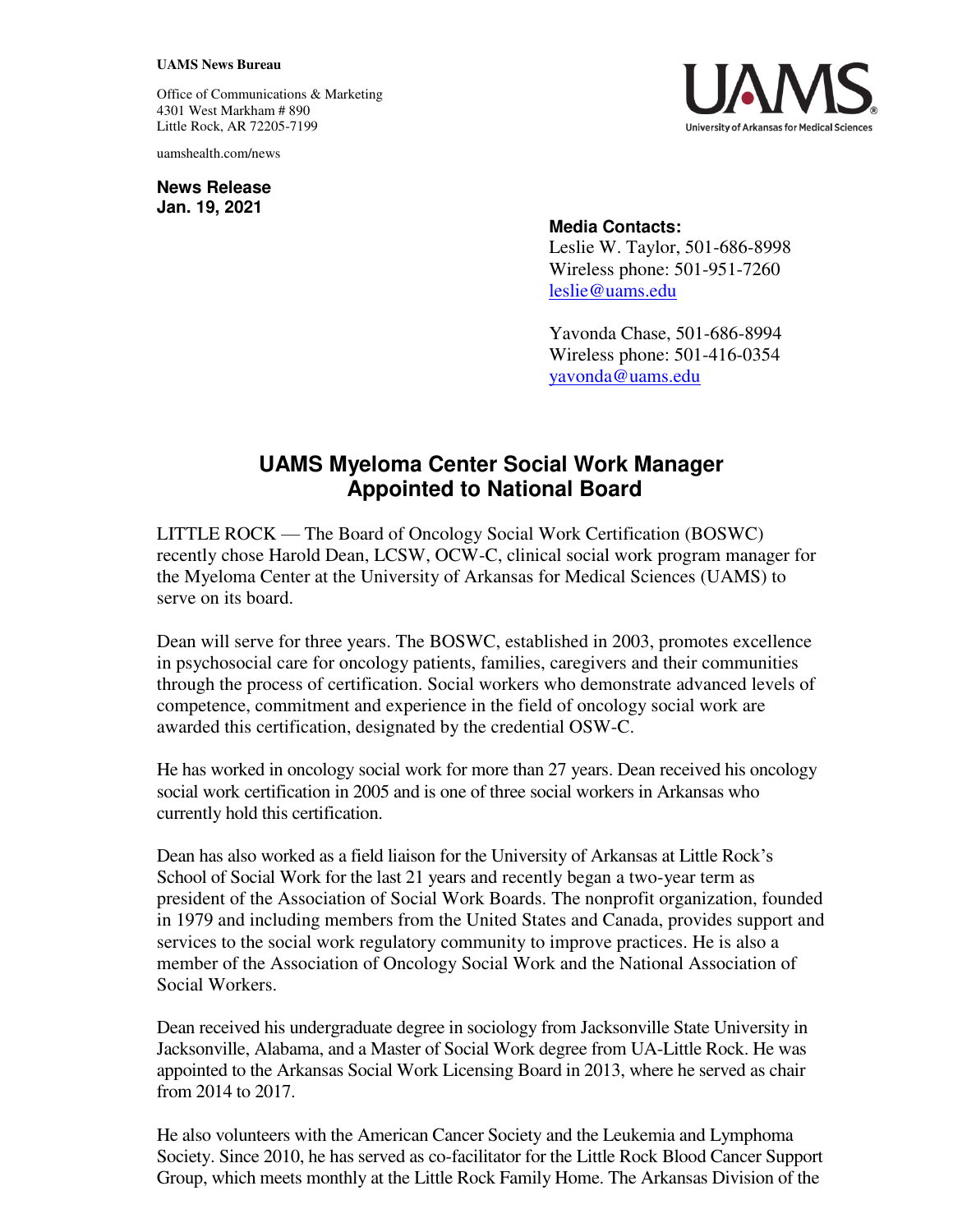## **UAMS News Bureau**

Office of Communications & Marketing 4301 West Markham # 890 Little Rock, AR 72205-7199

uamshealth.com/news

**News Release Jan. 19, 2021**



## **Media Contacts:**

Leslie W. Taylor, 501-686-8998 Wireless phone: 501-951-7260 [leslie@uams.edu](mailto:leslie@uams.edu)

Yavonda Chase, 501-686-8994 Wireless phone: 501-416-0354 [yavonda@uams.edu](mailto:yavonda@uams.edu) 

## **UAMS Myeloma Center Social Work Manager Appointed to National Board**

LITTLE ROCK — The Board of Oncology Social Work Certification (BOSWC) recently chose Harold Dean, LCSW, OCW-C, clinical social work program manager for the Myeloma Center at the University of Arkansas for Medical Sciences (UAMS) to serve on its board.

Dean will serve for three years. The BOSWC, established in 2003, promotes excellence in psychosocial care for oncology patients, families, caregivers and their communities through the process of certification. Social workers who demonstrate advanced levels of competence, commitment and experience in the field of oncology social work are awarded this certification, designated by the credential OSW-C.

He has worked in oncology social work for more than 27 years. Dean received his oncology social work certification in 2005 and is one of three social workers in Arkansas who currently hold this certification.

Dean has also worked as a field liaison for the University of Arkansas at Little Rock's School of Social Work for the last 21 years and recently began a two-year term as president of the Association of Social Work Boards. The nonprofit organization, founded in 1979 and including members from the United States and Canada, provides support and services to the social work regulatory community to improve practices. He is also a member of the Association of Oncology Social Work and the National Association of Social Workers.

Dean received his undergraduate degree in sociology from Jacksonville State University in Jacksonville, Alabama, and a Master of Social Work degree from UA-Little Rock. He was appointed to the Arkansas Social Work Licensing Board in 2013, where he served as chair from 2014 to 2017.

He also volunteers with the American Cancer Society and the Leukemia and Lymphoma Society. Since 2010, he has served as co-facilitator for the Little Rock Blood Cancer Support Group, which meets monthly at the Little Rock Family Home. The Arkansas Division of the